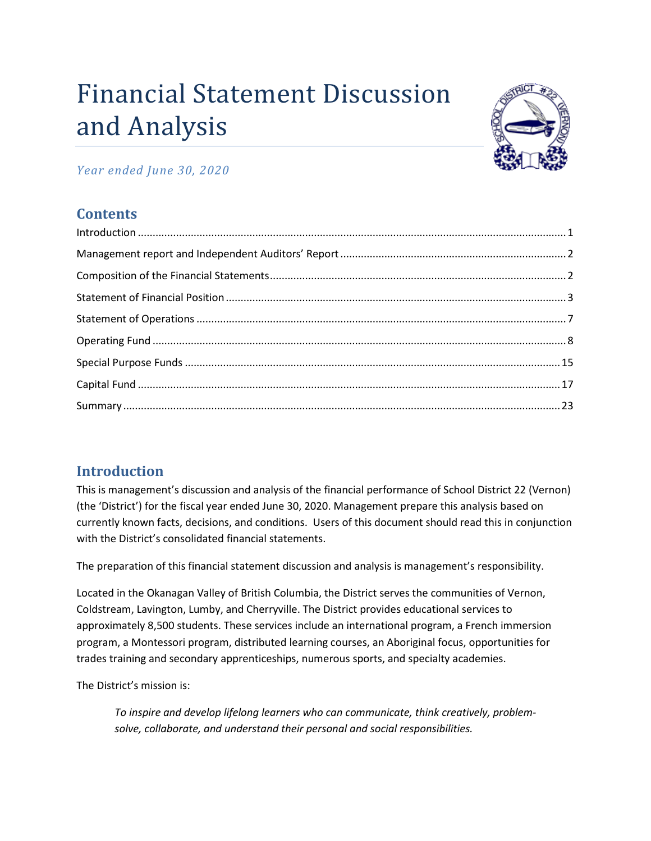# Financial Statement Discussion and Analysis



# *Year ended June 30, 2020*

# **Contents**

| $\label{eq:1} \mbox{Introduction} \,\, \ldots \,\, \ldots \,\, \ldots \,\, \ldots \,\, \ldots \,\, \ldots \,\, \ldots \,\, \ldots \,\, \ldots \,\, \ldots \,\, \ldots \,\, \ldots \,\, \ldots \,\, \ldots \,\, \ldots \,\, \ldots \,\, \ldots \,\, \ldots \,\, \ldots \,\, \ldots \,\, \ldots \,\, \ldots \,\, \ldots \,\, \ldots \,\, \ldots \,\, \ldots \,\, \ldots \,\, \ldots \,\, \ldots \,\, \ldots \,\, \ldots \,\, \ldots \,\, \ldots \,\, \ldots \,\,$ |  |
|-----------------------------------------------------------------------------------------------------------------------------------------------------------------------------------------------------------------------------------------------------------------------------------------------------------------------------------------------------------------------------------------------------------------------------------------------------------------|--|
|                                                                                                                                                                                                                                                                                                                                                                                                                                                                 |  |
|                                                                                                                                                                                                                                                                                                                                                                                                                                                                 |  |
|                                                                                                                                                                                                                                                                                                                                                                                                                                                                 |  |
|                                                                                                                                                                                                                                                                                                                                                                                                                                                                 |  |
|                                                                                                                                                                                                                                                                                                                                                                                                                                                                 |  |
|                                                                                                                                                                                                                                                                                                                                                                                                                                                                 |  |
|                                                                                                                                                                                                                                                                                                                                                                                                                                                                 |  |
|                                                                                                                                                                                                                                                                                                                                                                                                                                                                 |  |

# <span id="page-0-0"></span>**Introduction**

This is management's discussion and analysis of the financial performance of School District 22 (Vernon) (the 'District') for the fiscal year ended June 30, 2020. Management prepare this analysis based on currently known facts, decisions, and conditions. Users of this document should read this in conjunction with the District's consolidated financial statements.

The preparation of this financial statement discussion and analysis is management's responsibility.

Located in the Okanagan Valley of British Columbia, the District serves the communities of Vernon, Coldstream, Lavington, Lumby, and Cherryville. The District provides educational services to approximately 8,500 students. These services include an international program, a French immersion program, a Montessori program, distributed learning courses, an Aboriginal focus, opportunities for trades training and secondary apprenticeships, numerous sports, and specialty academies.

The District's mission is:

*To inspire and develop lifelong learners who can communicate, think creatively, problemsolve, collaborate, and understand their personal and social responsibilities.*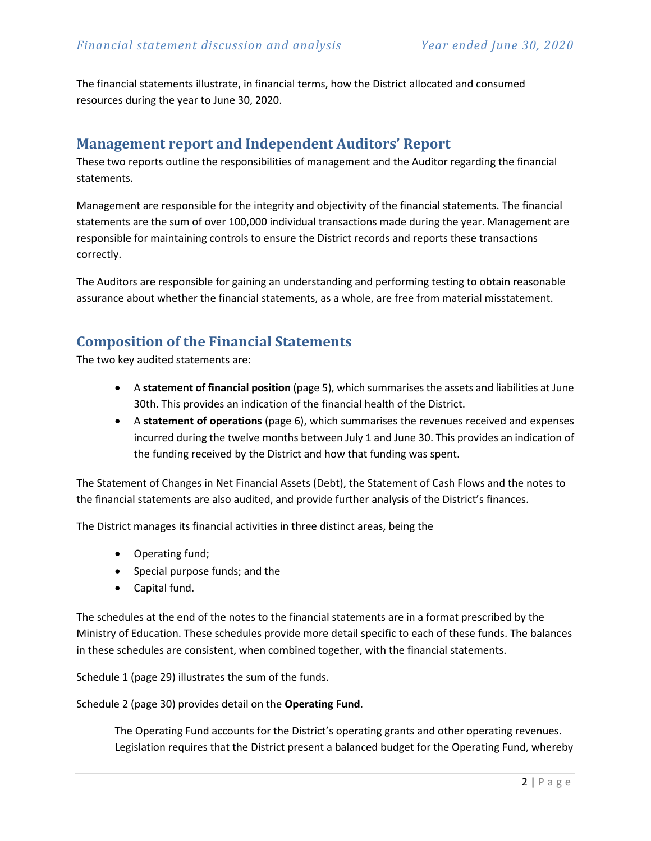The financial statements illustrate, in financial terms, how the District allocated and consumed resources during the year to June 30, 2020.

# <span id="page-1-0"></span>**Management report and Independent Auditors' Report**

These two reports outline the responsibilities of management and the Auditor regarding the financial statements.

Management are responsible for the integrity and objectivity of the financial statements. The financial statements are the sum of over 100,000 individual transactions made during the year. Management are responsible for maintaining controls to ensure the District records and reports these transactions correctly.

The Auditors are responsible for gaining an understanding and performing testing to obtain reasonable assurance about whether the financial statements, as a whole, are free from material misstatement.

# <span id="page-1-1"></span>**Composition of the Financial Statements**

The two key audited statements are:

- A **statement of financial position** (page 5), which summarises the assets and liabilities at June 30th. This provides an indication of the financial health of the District.
- A **statement of operations** (page 6), which summarises the revenues received and expenses incurred during the twelve months between July 1 and June 30. This provides an indication of the funding received by the District and how that funding was spent.

The Statement of Changes in Net Financial Assets (Debt), the Statement of Cash Flows and the notes to the financial statements are also audited, and provide further analysis of the District's finances.

The District manages its financial activities in three distinct areas, being the

- Operating fund;
- Special purpose funds; and the
- Capital fund.

The schedules at the end of the notes to the financial statements are in a format prescribed by the Ministry of Education. These schedules provide more detail specific to each of these funds. The balances in these schedules are consistent, when combined together, with the financial statements.

Schedule 1 (page 29) illustrates the sum of the funds.

Schedule 2 (page 30) provides detail on the **Operating Fund**.

The Operating Fund accounts for the District's operating grants and other operating revenues. Legislation requires that the District present a balanced budget for the Operating Fund, whereby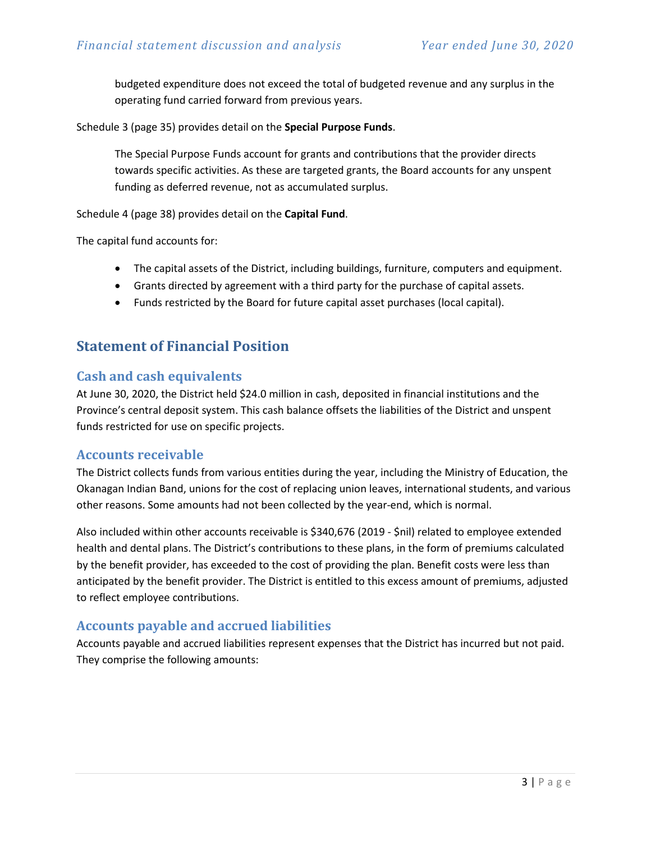budgeted expenditure does not exceed the total of budgeted revenue and any surplus in the operating fund carried forward from previous years.

Schedule 3 (page 35) provides detail on the **Special Purpose Funds**.

The Special Purpose Funds account for grants and contributions that the provider directs towards specific activities. As these are targeted grants, the Board accounts for any unspent funding as deferred revenue, not as accumulated surplus.

Schedule 4 (page 38) provides detail on the **Capital Fund**.

The capital fund accounts for:

- The capital assets of the District, including buildings, furniture, computers and equipment.
- Grants directed by agreement with a third party for the purchase of capital assets.
- Funds restricted by the Board for future capital asset purchases (local capital).

# <span id="page-2-0"></span>**Statement of Financial Position**

#### **Cash and cash equivalents**

At June 30, 2020, the District held \$24.0 million in cash, deposited in financial institutions and the Province's central deposit system. This cash balance offsets the liabilities of the District and unspent funds restricted for use on specific projects.

#### **Accounts receivable**

The District collects funds from various entities during the year, including the Ministry of Education, the Okanagan Indian Band, unions for the cost of replacing union leaves, international students, and various other reasons. Some amounts had not been collected by the year-end, which is normal.

Also included within other accounts receivable is \$340,676 (2019 - \$nil) related to employee extended health and dental plans. The District's contributions to these plans, in the form of premiums calculated by the benefit provider, has exceeded to the cost of providing the plan. Benefit costs were less than anticipated by the benefit provider. The District is entitled to this excess amount of premiums, adjusted to reflect employee contributions.

#### **Accounts payable and accrued liabilities**

Accounts payable and accrued liabilities represent expenses that the District has incurred but not paid. They comprise the following amounts: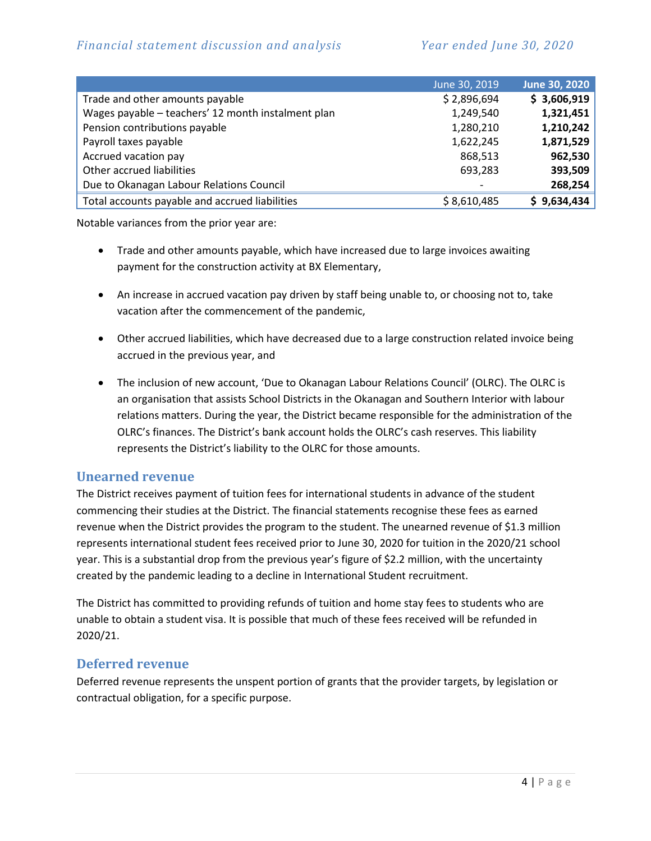|                                                    | June 30, 2019            | June 30, 2020 |
|----------------------------------------------------|--------------------------|---------------|
| Trade and other amounts payable                    | \$2,896,694              | \$3,606,919   |
| Wages payable - teachers' 12 month instalment plan | 1,249,540                | 1,321,451     |
| Pension contributions payable                      | 1,280,210                | 1,210,242     |
| Payroll taxes payable                              | 1,622,245                | 1,871,529     |
| Accrued vacation pay                               | 868,513                  | 962,530       |
| Other accrued liabilities                          | 693,283                  | 393,509       |
| Due to Okanagan Labour Relations Council           | $\overline{\phantom{a}}$ | 268,254       |
| Total accounts payable and accrued liabilities     | \$8,610,485              | \$9,634,434   |

Notable variances from the prior year are:

- Trade and other amounts payable, which have increased due to large invoices awaiting payment for the construction activity at BX Elementary,
- An increase in accrued vacation pay driven by staff being unable to, or choosing not to, take vacation after the commencement of the pandemic,
- Other accrued liabilities, which have decreased due to a large construction related invoice being accrued in the previous year, and
- The inclusion of new account, 'Due to Okanagan Labour Relations Council' (OLRC). The OLRC is an organisation that assists School Districts in the Okanagan and Southern Interior with labour relations matters. During the year, the District became responsible for the administration of the OLRC's finances. The District's bank account holds the OLRC's cash reserves. This liability represents the District's liability to the OLRC for those amounts.

#### **Unearned revenue**

The District receives payment of tuition fees for international students in advance of the student commencing their studies at the District. The financial statements recognise these fees as earned revenue when the District provides the program to the student. The unearned revenue of \$1.3 million represents international student fees received prior to June 30, 2020 for tuition in the 2020/21 school year. This is a substantial drop from the previous year's figure of \$2.2 million, with the uncertainty created by the pandemic leading to a decline in International Student recruitment.

The District has committed to providing refunds of tuition and home stay fees to students who are unable to obtain a student visa. It is possible that much of these fees received will be refunded in 2020/21.

#### **Deferred revenue**

Deferred revenue represents the unspent portion of grants that the provider targets, by legislation or contractual obligation, for a specific purpose.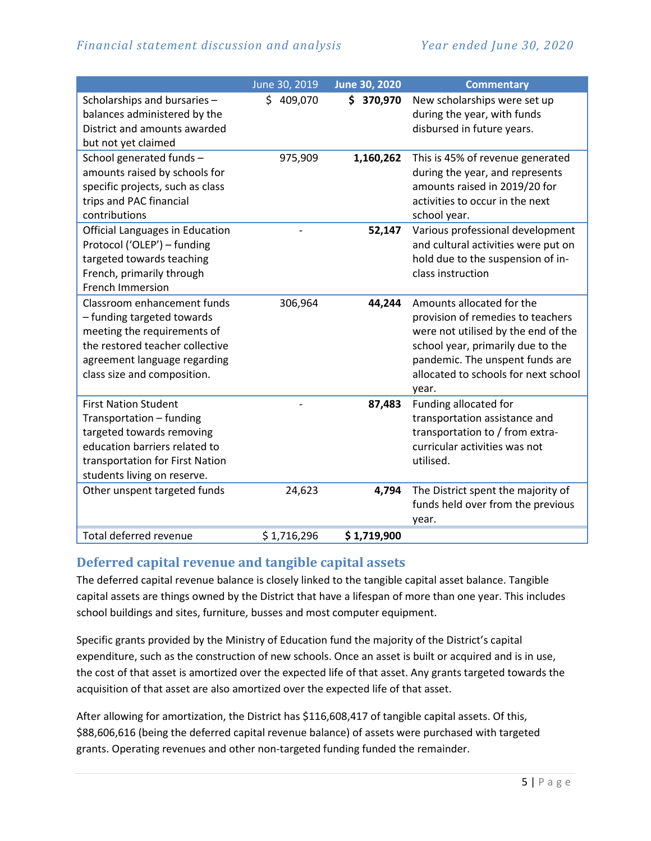|                                        | June 30, 2019 | June 30, 2020 | <b>Commentary</b>                    |
|----------------------------------------|---------------|---------------|--------------------------------------|
| Scholarships and bursaries -           | \$409,070     | \$370,970     | New scholarships were set up         |
| balances administered by the           |               |               | during the year, with funds          |
| District and amounts awarded           |               |               | disbursed in future years.           |
| but not yet claimed                    |               |               |                                      |
| School generated funds -               | 975,909       | 1,160,262     | This is 45% of revenue generated     |
| amounts raised by schools for          |               |               | during the year, and represents      |
| specific projects, such as class       |               |               | amounts raised in 2019/20 for        |
| trips and PAC financial                |               |               | activities to occur in the next      |
| contributions                          |               |               | school year.                         |
| <b>Official Languages in Education</b> |               | 52,147        | Various professional development     |
| Protocol ('OLEP') - funding            |               |               | and cultural activities were put on  |
| targeted towards teaching              |               |               | hold due to the suspension of in-    |
| French, primarily through              |               |               | class instruction                    |
| French Immersion                       |               |               |                                      |
| Classroom enhancement funds            | 306,964       | 44,244        | Amounts allocated for the            |
| - funding targeted towards             |               |               | provision of remedies to teachers    |
| meeting the requirements of            |               |               | were not utilised by the end of the  |
| the restored teacher collective        |               |               | school year, primarily due to the    |
| agreement language regarding           |               |               | pandemic. The unspent funds are      |
| class size and composition.            |               |               | allocated to schools for next school |
|                                        |               |               | year.                                |
| <b>First Nation Student</b>            |               | 87,483        | Funding allocated for                |
| Transportation - funding               |               |               | transportation assistance and        |
| targeted towards removing              |               |               | transportation to / from extra-      |
| education barriers related to          |               |               | curricular activities was not        |
| transportation for First Nation        |               |               | utilised.                            |
| students living on reserve.            |               |               |                                      |
| Other unspent targeted funds           | 24,623        | 4,794         | The District spent the majority of   |
|                                        |               |               | funds held over from the previous    |
|                                        |               |               | year.                                |
| Total deferred revenue                 | \$1,716,296   | \$1,719,900   |                                      |

#### **Deferred capital revenue and tangible capital assets**

The deferred capital revenue balance is closely linked to the tangible capital asset balance. Tangible capital assets are things owned by the District that have a lifespan of more than one year. This includes school buildings and sites, furniture, busses and most computer equipment.

Specific grants provided by the Ministry of Education fund the majority of the District's capital expenditure, such as the construction of new schools. Once an asset is built or acquired and is in use, the cost of that asset is amortized over the expected life of that asset. Any grants targeted towards the acquisition of that asset are also amortized over the expected life of that asset.

After allowing for amortization, the District has \$116,608,417 of tangible capital assets. Of this, \$88,606,616 (being the deferred capital revenue balance) of assets were purchased with targeted grants. Operating revenues and other non-targeted funding funded the remainder.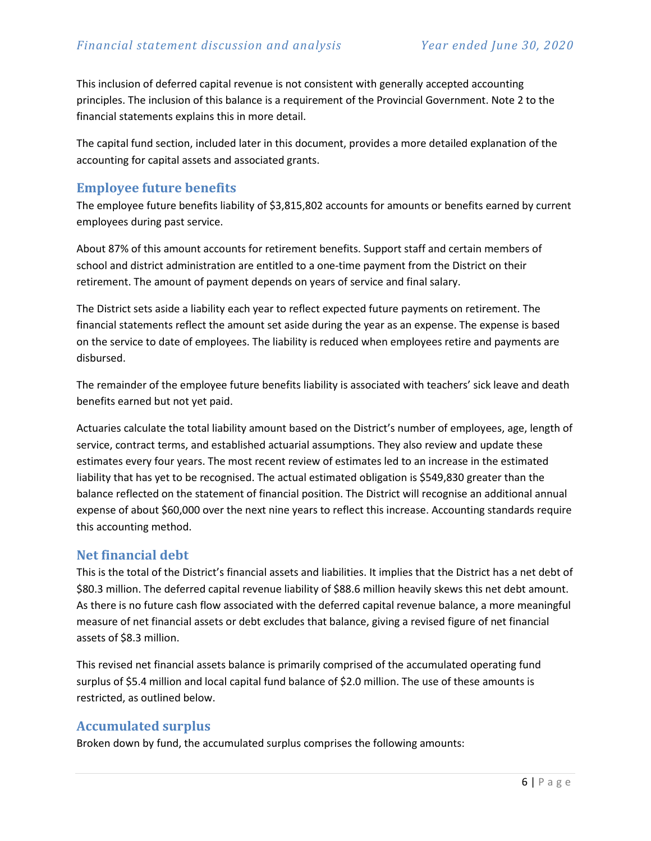This inclusion of deferred capital revenue is not consistent with generally accepted accounting principles. The inclusion of this balance is a requirement of the Provincial Government. Note 2 to the financial statements explains this in more detail.

The capital fund section, included later in this document, provides a more detailed explanation of the accounting for capital assets and associated grants.

#### **Employee future benefits**

The employee future benefits liability of \$3,815,802 accounts for amounts or benefits earned by current employees during past service.

About 87% of this amount accounts for retirement benefits. Support staff and certain members of school and district administration are entitled to a one-time payment from the District on their retirement. The amount of payment depends on years of service and final salary.

The District sets aside a liability each year to reflect expected future payments on retirement. The financial statements reflect the amount set aside during the year as an expense. The expense is based on the service to date of employees. The liability is reduced when employees retire and payments are disbursed.

The remainder of the employee future benefits liability is associated with teachers' sick leave and death benefits earned but not yet paid.

Actuaries calculate the total liability amount based on the District's number of employees, age, length of service, contract terms, and established actuarial assumptions. They also review and update these estimates every four years. The most recent review of estimates led to an increase in the estimated liability that has yet to be recognised. The actual estimated obligation is \$549,830 greater than the balance reflected on the statement of financial position. The District will recognise an additional annual expense of about \$60,000 over the next nine years to reflect this increase. Accounting standards require this accounting method.

#### **Net financial debt**

This is the total of the District's financial assets and liabilities. It implies that the District has a net debt of \$80.3 million. The deferred capital revenue liability of \$88.6 million heavily skews this net debt amount. As there is no future cash flow associated with the deferred capital revenue balance, a more meaningful measure of net financial assets or debt excludes that balance, giving a revised figure of net financial assets of \$8.3 million.

This revised net financial assets balance is primarily comprised of the accumulated operating fund surplus of \$5.4 million and local capital fund balance of \$2.0 million. The use of these amounts is restricted, as outlined below.

#### **Accumulated surplus**

Broken down by fund, the accumulated surplus comprises the following amounts: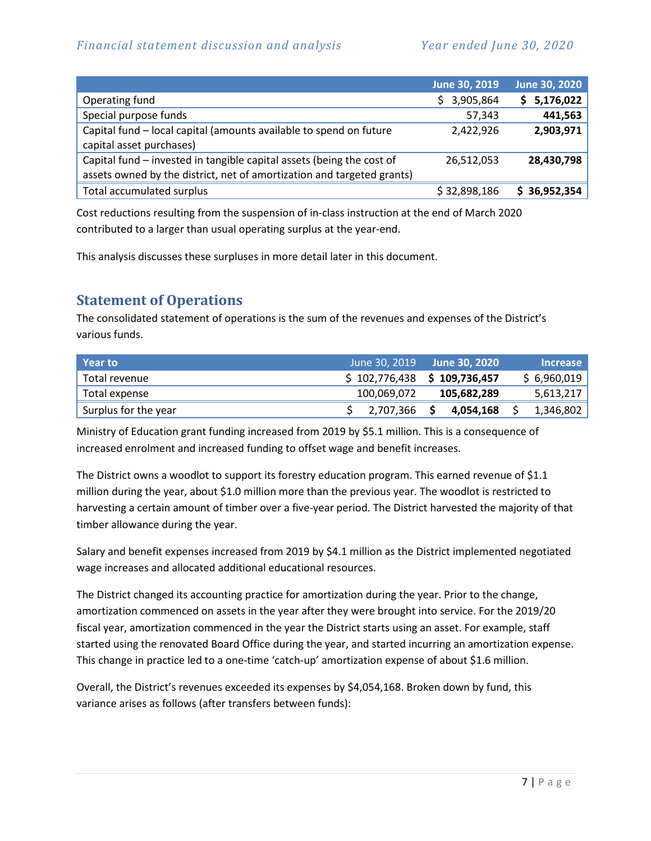|                                                                                                                                                 | June 30, 2019 | June 30, 2020 |
|-------------------------------------------------------------------------------------------------------------------------------------------------|---------------|---------------|
| Operating fund                                                                                                                                  | \$3,905,864   | \$5,176,022   |
| Special purpose funds                                                                                                                           | 57,343        | 441,563       |
| Capital fund - local capital (amounts available to spend on future<br>capital asset purchases)                                                  | 2,422,926     | 2,903,971     |
| Capital fund - invested in tangible capital assets (being the cost of<br>assets owned by the district, net of amortization and targeted grants) | 26,512,053    | 28,430,798    |
| Total accumulated surplus                                                                                                                       | \$32,898,186  | \$36,952,354  |

Cost reductions resulting from the suspension of in-class instruction at the end of March 2020 contributed to a larger than usual operating surplus at the year-end.

This analysis discusses these surpluses in more detail later in this document.

# <span id="page-6-0"></span>**Statement of Operations**

The consolidated statement of operations is the sum of the revenues and expenses of the District's various funds.

| l Year to            | June 30, 2019 | ا June 30. 2020 ا                    | <b>Increase</b> |
|----------------------|---------------|--------------------------------------|-----------------|
| Total revenue        |               | $$102,776,438 \text{ } $109,736,457$ | \$6,960,019     |
| Total expense        | 100,069,072   | 105,682,289                          | 5,613,217       |
| Surplus for the year | 2,707,366     | 4,054,168                            | 1,346,802       |

Ministry of Education grant funding increased from 2019 by \$5.1 million. This is a consequence of increased enrolment and increased funding to offset wage and benefit increases.

The District owns a woodlot to support its forestry education program. This earned revenue of \$1.1 million during the year, about \$1.0 million more than the previous year. The woodlot is restricted to harvesting a certain amount of timber over a five-year period. The District harvested the majority of that timber allowance during the year.

Salary and benefit expenses increased from 2019 by \$4.1 million as the District implemented negotiated wage increases and allocated additional educational resources.

The District changed its accounting practice for amortization during the year. Prior to the change, amortization commenced on assets in the year after they were brought into service. For the 2019/20 fiscal year, amortization commenced in the year the District starts using an asset. For example, staff started using the renovated Board Office during the year, and started incurring an amortization expense. This change in practice led to a one-time 'catch-up' amortization expense of about \$1.6 million.

Overall, the District's revenues exceeded its expenses by \$4,054,168. Broken down by fund, this variance arises as follows (after transfers between funds):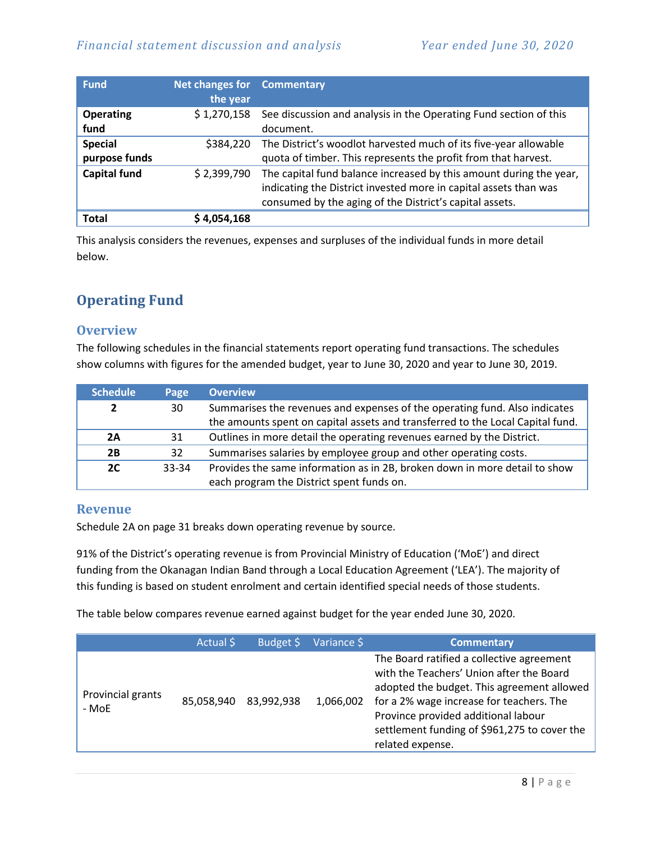| <b>Fund</b>                     | Net changes for<br>the year | <b>Commentary</b>                                                                                                                                                                                 |
|---------------------------------|-----------------------------|---------------------------------------------------------------------------------------------------------------------------------------------------------------------------------------------------|
| <b>Operating</b><br>fund        | \$1,270,158                 | See discussion and analysis in the Operating Fund section of this<br>document.                                                                                                                    |
| <b>Special</b><br>purpose funds | \$384,220                   | The District's woodlot harvested much of its five-year allowable<br>quota of timber. This represents the profit from that harvest.                                                                |
| <b>Capital fund</b>             | \$2,399,790                 | The capital fund balance increased by this amount during the year,<br>indicating the District invested more in capital assets than was<br>consumed by the aging of the District's capital assets. |
| <b>Total</b>                    | 4,054,168                   |                                                                                                                                                                                                   |

This analysis considers the revenues, expenses and surpluses of the individual funds in more detail below.

# <span id="page-7-0"></span>**Operating Fund**

#### **Overview**

The following schedules in the financial statements report operating fund transactions. The schedules show columns with figures for the amended budget, year to June 30, 2020 and year to June 30, 2019.

| <b>Schedule</b> | Page  | <b>Overview</b>                                                                                                                                              |
|-----------------|-------|--------------------------------------------------------------------------------------------------------------------------------------------------------------|
| 2               | 30    | Summarises the revenues and expenses of the operating fund. Also indicates<br>the amounts spent on capital assets and transferred to the Local Capital fund. |
| 2A              | 31    | Outlines in more detail the operating revenues earned by the District.                                                                                       |
| 2B              | 32    | Summarises salaries by employee group and other operating costs.                                                                                             |
| 2C              | 33-34 | Provides the same information as in 2B, broken down in more detail to show<br>each program the District spent funds on.                                      |

#### **Revenue**

Schedule 2A on page 31 breaks down operating revenue by source.

91% of the District's operating revenue is from Provincial Ministry of Education ('MoE') and direct funding from the Okanagan Indian Band through a Local Education Agreement ('LEA'). The majority of this funding is based on student enrolment and certain identified special needs of those students.

The table below compares revenue earned against budget for the year ended June 30, 2020.

|                            | Actual \$  | Budget \$  | Variance \$ | <b>Commentary</b>                                                                                                                                                                                                                                                                          |
|----------------------------|------------|------------|-------------|--------------------------------------------------------------------------------------------------------------------------------------------------------------------------------------------------------------------------------------------------------------------------------------------|
| Provincial grants<br>- MoE | 85,058,940 | 83,992,938 | 1,066,002   | The Board ratified a collective agreement<br>with the Teachers' Union after the Board<br>adopted the budget. This agreement allowed<br>for a 2% wage increase for teachers. The<br>Province provided additional labour<br>settlement funding of \$961,275 to cover the<br>related expense. |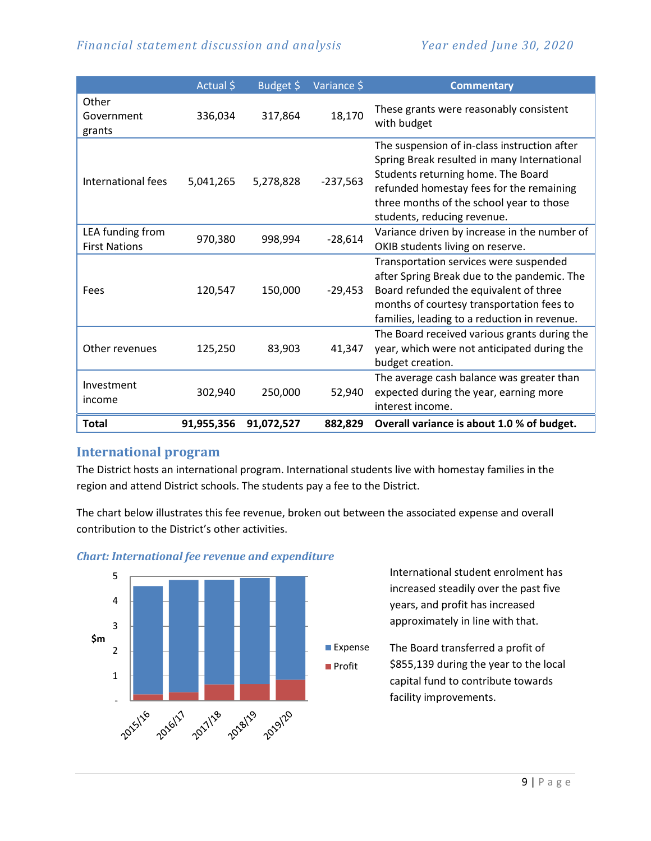|                                          | Actual \$  | Budget \$  | Variance \$ | <b>Commentary</b>                                                                                                                                                                                                                                        |
|------------------------------------------|------------|------------|-------------|----------------------------------------------------------------------------------------------------------------------------------------------------------------------------------------------------------------------------------------------------------|
| Other<br>Government<br>grants            | 336,034    | 317,864    | 18,170      | These grants were reasonably consistent<br>with budget                                                                                                                                                                                                   |
| International fees                       | 5,041,265  | 5,278,828  | $-237,563$  | The suspension of in-class instruction after<br>Spring Break resulted in many International<br>Students returning home. The Board<br>refunded homestay fees for the remaining<br>three months of the school year to those<br>students, reducing revenue. |
| LEA funding from<br><b>First Nations</b> | 970,380    | 998,994    | $-28,614$   | Variance driven by increase in the number of<br>OKIB students living on reserve.                                                                                                                                                                         |
| Fees                                     | 120,547    | 150,000    | $-29,453$   | Transportation services were suspended<br>after Spring Break due to the pandemic. The<br>Board refunded the equivalent of three<br>months of courtesy transportation fees to<br>families, leading to a reduction in revenue.                             |
| Other revenues                           | 125,250    | 83,903     | 41,347      | The Board received various grants during the<br>year, which were not anticipated during the<br>budget creation.                                                                                                                                          |
| Investment<br>income                     | 302,940    | 250,000    | 52,940      | The average cash balance was greater than<br>expected during the year, earning more<br>interest income.                                                                                                                                                  |
| <b>Total</b>                             | 91,955,356 | 91,072,527 | 882,829     | Overall variance is about 1.0 % of budget.                                                                                                                                                                                                               |

#### **International program**

The District hosts an international program. International students live with homestay families in the region and attend District schools. The students pay a fee to the District.

The chart below illustrates this fee revenue, broken out between the associated expense and overall contribution to the District's other activities.



#### *Chart: International fee revenue and expenditure*

International student enrolment has increased steadily over the past five years, and profit has increased approximately in line with that.

The Board transferred a profit of \$855,139 during the year to the local capital fund to contribute towards **Expense**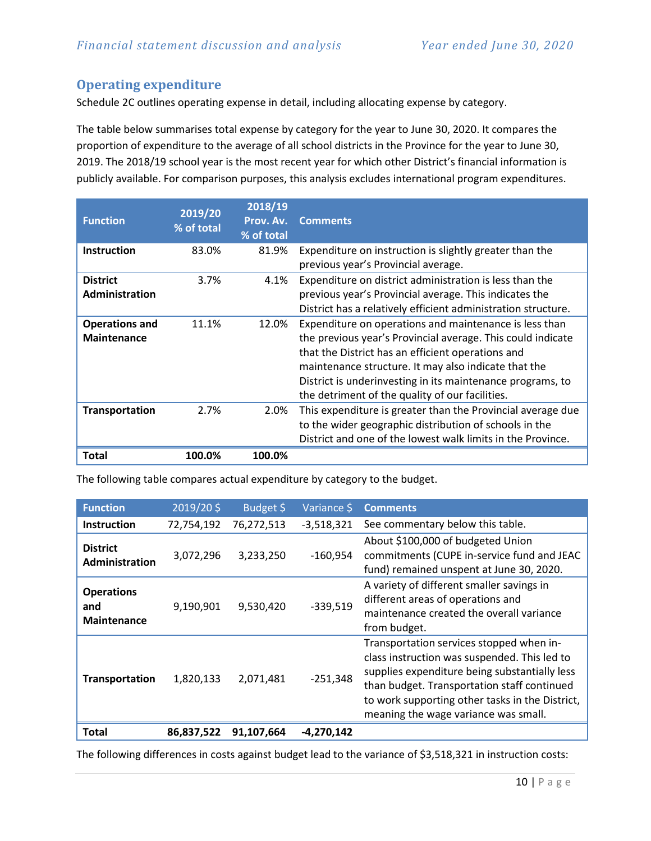# **Operating expenditure**

Schedule 2C outlines operating expense in detail, including allocating expense by category.

The table below summarises total expense by category for the year to June 30, 2020. It compares the proportion of expenditure to the average of all school districts in the Province for the year to June 30, 2019. The 2018/19 school year is the most recent year for which other District's financial information is publicly available. For comparison purposes, this analysis excludes international program expenditures.

| <b>Function</b>                             | 2019/20<br>% of total | 2018/19<br>Prov. Av.<br>% of total | <b>Comments</b>                                                                                                                                                                                                                                                                                                                                     |
|---------------------------------------------|-----------------------|------------------------------------|-----------------------------------------------------------------------------------------------------------------------------------------------------------------------------------------------------------------------------------------------------------------------------------------------------------------------------------------------------|
| <b>Instruction</b>                          | 83.0%                 | 81.9%                              | Expenditure on instruction is slightly greater than the<br>previous year's Provincial average.                                                                                                                                                                                                                                                      |
| <b>District</b><br>Administration           | 3.7%                  | 4.1%                               | Expenditure on district administration is less than the<br>previous year's Provincial average. This indicates the<br>District has a relatively efficient administration structure.                                                                                                                                                                  |
| <b>Operations and</b><br><b>Maintenance</b> | 11.1%                 | 12.0%                              | Expenditure on operations and maintenance is less than<br>the previous year's Provincial average. This could indicate<br>that the District has an efficient operations and<br>maintenance structure. It may also indicate that the<br>District is underinvesting in its maintenance programs, to<br>the detriment of the quality of our facilities. |
| <b>Transportation</b>                       | 2.7%                  | 2.0%                               | This expenditure is greater than the Provincial average due<br>to the wider geographic distribution of schools in the<br>District and one of the lowest walk limits in the Province.                                                                                                                                                                |
| <b>Total</b>                                | 100.0%                | 100.0%                             |                                                                                                                                                                                                                                                                                                                                                     |

The following table compares actual expenditure by category to the budget.

| <b>Function</b>                                | 2019/20\$  | Budget \$  | Variance \$  | <b>Comments</b>                                                                                                                                                                                                                                                                     |
|------------------------------------------------|------------|------------|--------------|-------------------------------------------------------------------------------------------------------------------------------------------------------------------------------------------------------------------------------------------------------------------------------------|
| <b>Instruction</b>                             | 72,754,192 | 76,272,513 | $-3,518,321$ | See commentary below this table.                                                                                                                                                                                                                                                    |
| <b>District</b><br>Administration              | 3,072,296  | 3,233,250  | $-160,954$   | About \$100,000 of budgeted Union<br>commitments (CUPE in-service fund and JEAC<br>fund) remained unspent at June 30, 2020.                                                                                                                                                         |
| <b>Operations</b><br>and<br><b>Maintenance</b> | 9,190,901  | 9,530,420  | $-339,519$   | A variety of different smaller savings in<br>different areas of operations and<br>maintenance created the overall variance<br>from budget.                                                                                                                                          |
| Transportation                                 | 1,820,133  | 2,071,481  | $-251,348$   | Transportation services stopped when in-<br>class instruction was suspended. This led to<br>supplies expenditure being substantially less<br>than budget. Transportation staff continued<br>to work supporting other tasks in the District,<br>meaning the wage variance was small. |
| <b>Total</b>                                   | 86,837,522 | 91,107,664 | $-4,270,142$ |                                                                                                                                                                                                                                                                                     |

The following differences in costs against budget lead to the variance of \$3,518,321 in instruction costs: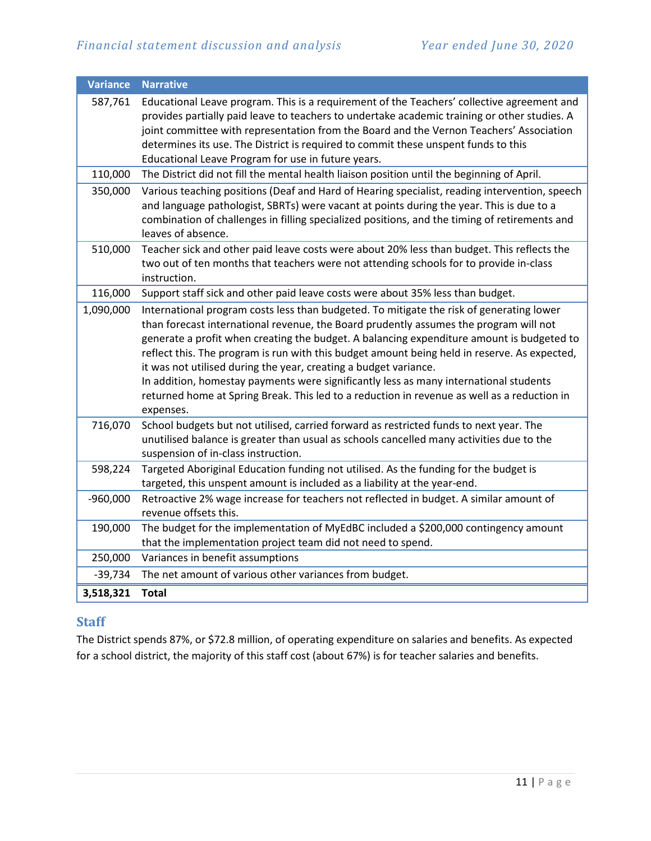| <b>Variance</b> | <b>Narrative</b>                                                                                                                                                                                                                                                                                                                                                                                                                                                                                                                                                                                                                                        |
|-----------------|---------------------------------------------------------------------------------------------------------------------------------------------------------------------------------------------------------------------------------------------------------------------------------------------------------------------------------------------------------------------------------------------------------------------------------------------------------------------------------------------------------------------------------------------------------------------------------------------------------------------------------------------------------|
| 587,761         | Educational Leave program. This is a requirement of the Teachers' collective agreement and<br>provides partially paid leave to teachers to undertake academic training or other studies. A<br>joint committee with representation from the Board and the Vernon Teachers' Association<br>determines its use. The District is required to commit these unspent funds to this<br>Educational Leave Program for use in future years.                                                                                                                                                                                                                       |
| 110,000         | The District did not fill the mental health liaison position until the beginning of April.                                                                                                                                                                                                                                                                                                                                                                                                                                                                                                                                                              |
| 350,000         | Various teaching positions (Deaf and Hard of Hearing specialist, reading intervention, speech<br>and language pathologist, SBRTs) were vacant at points during the year. This is due to a<br>combination of challenges in filling specialized positions, and the timing of retirements and<br>leaves of absence.                                                                                                                                                                                                                                                                                                                                        |
| 510,000         | Teacher sick and other paid leave costs were about 20% less than budget. This reflects the<br>two out of ten months that teachers were not attending schools for to provide in-class<br>instruction.                                                                                                                                                                                                                                                                                                                                                                                                                                                    |
| 116,000         | Support staff sick and other paid leave costs were about 35% less than budget.                                                                                                                                                                                                                                                                                                                                                                                                                                                                                                                                                                          |
| 1,090,000       | International program costs less than budgeted. To mitigate the risk of generating lower<br>than forecast international revenue, the Board prudently assumes the program will not<br>generate a profit when creating the budget. A balancing expenditure amount is budgeted to<br>reflect this. The program is run with this budget amount being held in reserve. As expected,<br>it was not utilised during the year, creating a budget variance.<br>In addition, homestay payments were significantly less as many international students<br>returned home at Spring Break. This led to a reduction in revenue as well as a reduction in<br>expenses. |
| 716,070         | School budgets but not utilised, carried forward as restricted funds to next year. The<br>unutilised balance is greater than usual as schools cancelled many activities due to the<br>suspension of in-class instruction.                                                                                                                                                                                                                                                                                                                                                                                                                               |
| 598,224         | Targeted Aboriginal Education funding not utilised. As the funding for the budget is<br>targeted, this unspent amount is included as a liability at the year-end.                                                                                                                                                                                                                                                                                                                                                                                                                                                                                       |
| $-960,000$      | Retroactive 2% wage increase for teachers not reflected in budget. A similar amount of<br>revenue offsets this.                                                                                                                                                                                                                                                                                                                                                                                                                                                                                                                                         |
| 190,000         | The budget for the implementation of MyEdBC included a \$200,000 contingency amount<br>that the implementation project team did not need to spend.                                                                                                                                                                                                                                                                                                                                                                                                                                                                                                      |
| 250,000         | Variances in benefit assumptions                                                                                                                                                                                                                                                                                                                                                                                                                                                                                                                                                                                                                        |
| $-39,734$       | The net amount of various other variances from budget.                                                                                                                                                                                                                                                                                                                                                                                                                                                                                                                                                                                                  |
| 3,518,321       | <b>Total</b>                                                                                                                                                                                                                                                                                                                                                                                                                                                                                                                                                                                                                                            |

# **Staff**

The District spends 87%, or \$72.8 million, of operating expenditure on salaries and benefits. As expected for a school district, the majority of this staff cost (about 67%) is for teacher salaries and benefits.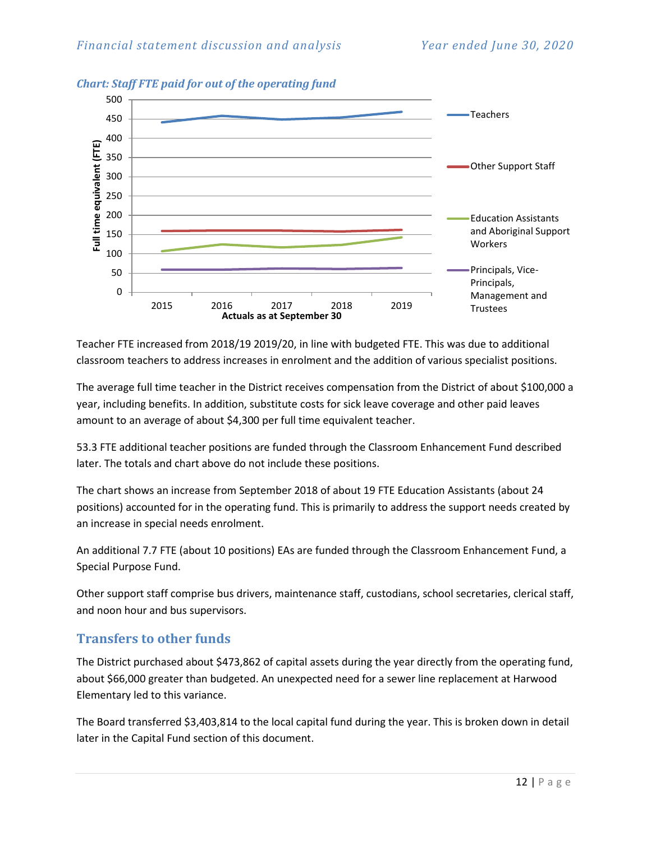

*Chart: Staff FTE paid for out of the operating fund*

Teacher FTE increased from 2018/19 2019/20, in line with budgeted FTE. This was due to additional classroom teachers to address increases in enrolment and the addition of various specialist positions.

The average full time teacher in the District receives compensation from the District of about \$100,000 a year, including benefits. In addition, substitute costs for sick leave coverage and other paid leaves amount to an average of about \$4,300 per full time equivalent teacher.

53.3 FTE additional teacher positions are funded through the Classroom Enhancement Fund described later. The totals and chart above do not include these positions.

The chart shows an increase from September 2018 of about 19 FTE Education Assistants (about 24 positions) accounted for in the operating fund. This is primarily to address the support needs created by an increase in special needs enrolment.

An additional 7.7 FTE (about 10 positions) EAs are funded through the Classroom Enhancement Fund, a Special Purpose Fund.

Other support staff comprise bus drivers, maintenance staff, custodians, school secretaries, clerical staff, and noon hour and bus supervisors.

# **Transfers to other funds**

The District purchased about \$473,862 of capital assets during the year directly from the operating fund, about \$66,000 greater than budgeted. An unexpected need for a sewer line replacement at Harwood Elementary led to this variance.

The Board transferred \$3,403,814 to the local capital fund during the year. This is broken down in detail later in the Capital Fund section of this document.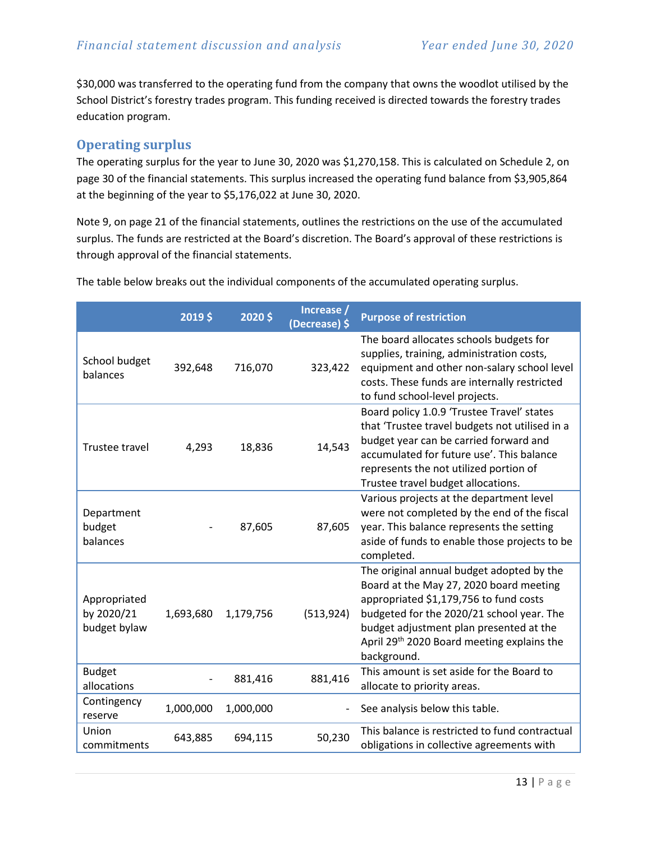\$30,000 was transferred to the operating fund from the company that owns the woodlot utilised by the School District's forestry trades program. This funding received is directed towards the forestry trades education program.

# **Operating surplus**

The operating surplus for the year to June 30, 2020 was \$1,270,158. This is calculated on Schedule 2, on page 30 of the financial statements. This surplus increased the operating fund balance from \$3,905,864 at the beginning of the year to \$5,176,022 at June 30, 2020.

Note 9, on page 21 of the financial statements, outlines the restrictions on the use of the accumulated surplus. The funds are restricted at the Board's discretion. The Board's approval of these restrictions is through approval of the financial statements.

|                                            | 2019\$    | 2020\$    | Increase /<br>(Decrease) \$ | <b>Purpose of restriction</b>                                                                                                                                                                                                                                                                   |
|--------------------------------------------|-----------|-----------|-----------------------------|-------------------------------------------------------------------------------------------------------------------------------------------------------------------------------------------------------------------------------------------------------------------------------------------------|
| School budget<br>balances                  | 392,648   | 716,070   | 323,422                     | The board allocates schools budgets for<br>supplies, training, administration costs,<br>equipment and other non-salary school level<br>costs. These funds are internally restricted<br>to fund school-level projects.                                                                           |
| Trustee travel                             | 4,293     | 18,836    | 14,543                      | Board policy 1.0.9 'Trustee Travel' states<br>that 'Trustee travel budgets not utilised in a<br>budget year can be carried forward and<br>accumulated for future use'. This balance<br>represents the not utilized portion of<br>Trustee travel budget allocations.                             |
| Department<br>budget<br>balances           |           | 87,605    | 87,605                      | Various projects at the department level<br>were not completed by the end of the fiscal<br>year. This balance represents the setting<br>aside of funds to enable those projects to be<br>completed.                                                                                             |
| Appropriated<br>by 2020/21<br>budget bylaw | 1,693,680 | 1,179,756 | (513, 924)                  | The original annual budget adopted by the<br>Board at the May 27, 2020 board meeting<br>appropriated \$1,179,756 to fund costs<br>budgeted for the 2020/21 school year. The<br>budget adjustment plan presented at the<br>April 29 <sup>th</sup> 2020 Board meeting explains the<br>background. |
| <b>Budget</b><br>allocations               |           | 881,416   | 881,416                     | This amount is set aside for the Board to<br>allocate to priority areas.                                                                                                                                                                                                                        |
| Contingency<br>reserve                     | 1,000,000 | 1,000,000 |                             | See analysis below this table.                                                                                                                                                                                                                                                                  |
| Union<br>commitments                       | 643,885   | 694,115   | 50,230                      | This balance is restricted to fund contractual<br>obligations in collective agreements with                                                                                                                                                                                                     |

The table below breaks out the individual components of the accumulated operating surplus.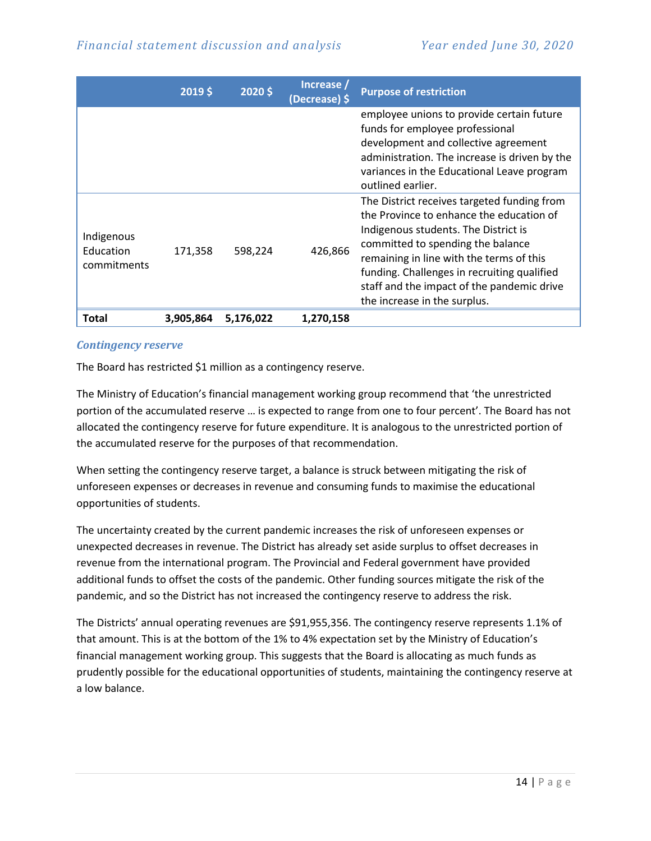|                                        | 2019\$    | 2020\$    | Increase /<br>(Decrease) \$ | <b>Purpose of restriction</b>                                                                                                                                                                                                                                                                                                                 |
|----------------------------------------|-----------|-----------|-----------------------------|-----------------------------------------------------------------------------------------------------------------------------------------------------------------------------------------------------------------------------------------------------------------------------------------------------------------------------------------------|
|                                        |           |           |                             | employee unions to provide certain future<br>funds for employee professional<br>development and collective agreement<br>administration. The increase is driven by the<br>variances in the Educational Leave program<br>outlined earlier.                                                                                                      |
| Indigenous<br>Education<br>commitments | 171,358   | 598,224   | 426,866                     | The District receives targeted funding from<br>the Province to enhance the education of<br>Indigenous students. The District is<br>committed to spending the balance<br>remaining in line with the terms of this<br>funding. Challenges in recruiting qualified<br>staff and the impact of the pandemic drive<br>the increase in the surplus. |
| <b>Total</b>                           | 3,905,864 | 5,176,022 | 1,270,158                   |                                                                                                                                                                                                                                                                                                                                               |

#### *Contingency reserve*

The Board has restricted \$1 million as a contingency reserve.

The Ministry of Education's financial management working group recommend that 'the unrestricted portion of the accumulated reserve … is expected to range from one to four percent'. The Board has not allocated the contingency reserve for future expenditure. It is analogous to the unrestricted portion of the accumulated reserve for the purposes of that recommendation.

When setting the contingency reserve target, a balance is struck between mitigating the risk of unforeseen expenses or decreases in revenue and consuming funds to maximise the educational opportunities of students.

The uncertainty created by the current pandemic increases the risk of unforeseen expenses or unexpected decreases in revenue. The District has already set aside surplus to offset decreases in revenue from the international program. The Provincial and Federal government have provided additional funds to offset the costs of the pandemic. Other funding sources mitigate the risk of the pandemic, and so the District has not increased the contingency reserve to address the risk.

The Districts' annual operating revenues are \$91,955,356. The contingency reserve represents 1.1% of that amount. This is at the bottom of the 1% to 4% expectation set by the Ministry of Education's financial management working group. This suggests that the Board is allocating as much funds as prudently possible for the educational opportunities of students, maintaining the contingency reserve at a low balance.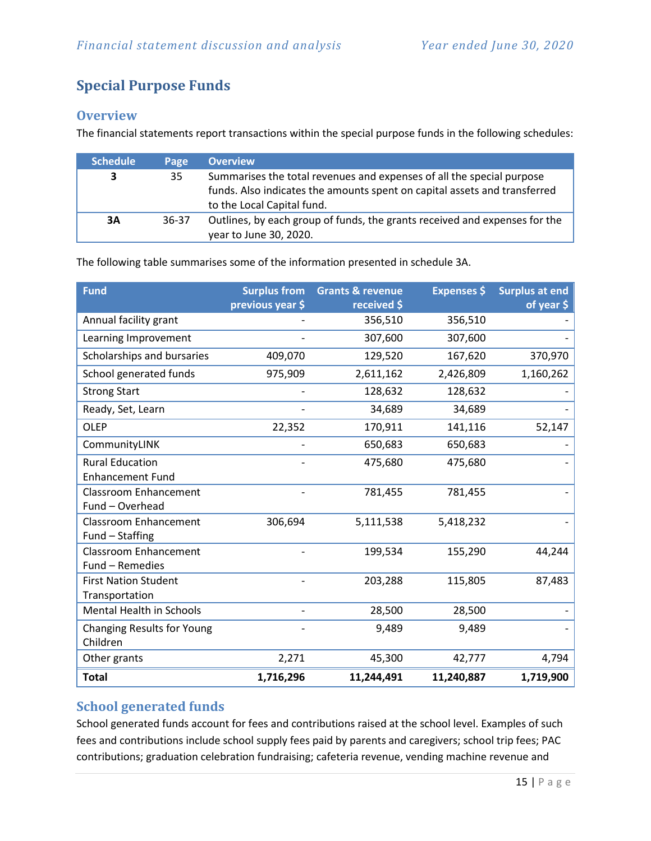# <span id="page-14-0"></span>**Special Purpose Funds**

# **Overview**

The financial statements report transactions within the special purpose funds in the following schedules:

| <b>Schedule</b> | Page  | <b>Overview</b>                                                                                                                                                                  |
|-----------------|-------|----------------------------------------------------------------------------------------------------------------------------------------------------------------------------------|
| 3               | 35    | Summarises the total revenues and expenses of all the special purpose<br>funds. Also indicates the amounts spent on capital assets and transferred<br>to the Local Capital fund. |
| 3A              | 36-37 | Outlines, by each group of funds, the grants received and expenses for the<br>year to June 30, 2020.                                                                             |

The following table summarises some of the information presented in schedule 3A.

| <b>Fund</b>                     | <b>Surplus from</b><br>previous year \$ | <b>Grants &amp; revenue</b><br>received \$ | <b>Expenses</b> \$ | <b>Surplus at end</b><br>of year \$ |
|---------------------------------|-----------------------------------------|--------------------------------------------|--------------------|-------------------------------------|
| Annual facility grant           |                                         | 356,510                                    | 356,510            |                                     |
| Learning Improvement            |                                         | 307,600                                    | 307,600            |                                     |
| Scholarships and bursaries      | 409,070                                 | 129,520                                    | 167,620            | 370,970                             |
| School generated funds          | 975,909                                 | 2,611,162                                  | 2,426,809          | 1,160,262                           |
| <b>Strong Start</b>             |                                         | 128,632                                    | 128,632            |                                     |
| Ready, Set, Learn               |                                         | 34,689                                     | 34,689             |                                     |
| <b>OLEP</b>                     | 22,352                                  | 170,911                                    | 141,116            | 52,147                              |
| CommunityLINK                   |                                         | 650,683                                    | 650,683            |                                     |
| <b>Rural Education</b>          |                                         | 475,680                                    | 475,680            |                                     |
| <b>Enhancement Fund</b>         |                                         |                                            |                    |                                     |
| <b>Classroom Enhancement</b>    |                                         | 781,455                                    | 781,455            |                                     |
| Fund - Overhead                 |                                         |                                            |                    |                                     |
| <b>Classroom Enhancement</b>    | 306,694                                 | 5,111,538                                  | 5,418,232          |                                     |
| Fund - Staffing                 |                                         |                                            |                    |                                     |
| <b>Classroom Enhancement</b>    |                                         | 199,534                                    | 155,290            | 44,244                              |
| Fund - Remedies                 |                                         |                                            |                    |                                     |
| <b>First Nation Student</b>     |                                         | 203,288                                    | 115,805            | 87,483                              |
| Transportation                  |                                         |                                            |                    |                                     |
| <b>Mental Health in Schools</b> |                                         | 28,500                                     | 28,500             |                                     |
| Changing Results for Young      |                                         | 9,489                                      | 9,489              |                                     |
| Children                        |                                         |                                            |                    |                                     |
| Other grants                    | 2,271                                   | 45,300                                     | 42,777             | 4,794                               |
| <b>Total</b>                    | 1,716,296                               | 11,244,491                                 | 11,240,887         | 1,719,900                           |

# **School generated funds**

School generated funds account for fees and contributions raised at the school level. Examples of such fees and contributions include school supply fees paid by parents and caregivers; school trip fees; PAC contributions; graduation celebration fundraising; cafeteria revenue, vending machine revenue and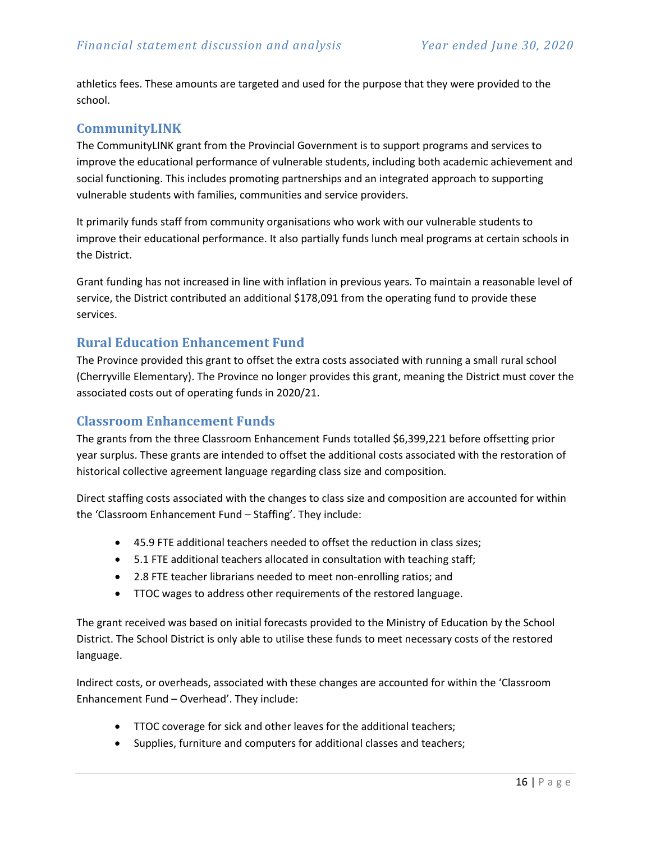athletics fees. These amounts are targeted and used for the purpose that they were provided to the school.

#### **CommunityLINK**

The CommunityLINK grant from the Provincial Government is to support programs and services to improve the educational performance of vulnerable students, including both academic achievement and social functioning. This includes promoting partnerships and an integrated approach to supporting vulnerable students with families, communities and service providers.

It primarily funds staff from community organisations who work with our vulnerable students to improve their educational performance. It also partially funds lunch meal programs at certain schools in the District.

Grant funding has not increased in line with inflation in previous years. To maintain a reasonable level of service, the District contributed an additional \$178,091 from the operating fund to provide these services.

#### **Rural Education Enhancement Fund**

The Province provided this grant to offset the extra costs associated with running a small rural school (Cherryville Elementary). The Province no longer provides this grant, meaning the District must cover the associated costs out of operating funds in 2020/21.

#### **Classroom Enhancement Funds**

The grants from the three Classroom Enhancement Funds totalled \$6,399,221 before offsetting prior year surplus. These grants are intended to offset the additional costs associated with the restoration of historical collective agreement language regarding class size and composition.

Direct staffing costs associated with the changes to class size and composition are accounted for within the 'Classroom Enhancement Fund – Staffing'. They include:

- 45.9 FTE additional teachers needed to offset the reduction in class sizes;
- 5.1 FTE additional teachers allocated in consultation with teaching staff;
- 2.8 FTE teacher librarians needed to meet non-enrolling ratios; and
- TTOC wages to address other requirements of the restored language.

The grant received was based on initial forecasts provided to the Ministry of Education by the School District. The School District is only able to utilise these funds to meet necessary costs of the restored language.

Indirect costs, or overheads, associated with these changes are accounted for within the 'Classroom Enhancement Fund – Overhead'. They include:

- TTOC coverage for sick and other leaves for the additional teachers;
- Supplies, furniture and computers for additional classes and teachers;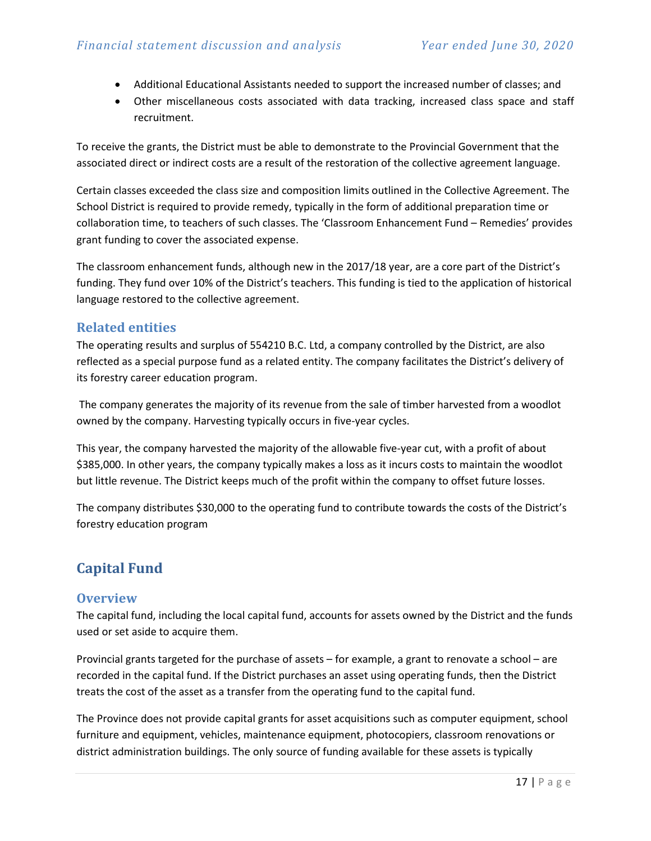- Additional Educational Assistants needed to support the increased number of classes; and
- Other miscellaneous costs associated with data tracking, increased class space and staff recruitment.

To receive the grants, the District must be able to demonstrate to the Provincial Government that the associated direct or indirect costs are a result of the restoration of the collective agreement language.

Certain classes exceeded the class size and composition limits outlined in the Collective Agreement. The School District is required to provide remedy, typically in the form of additional preparation time or collaboration time, to teachers of such classes. The 'Classroom Enhancement Fund – Remedies' provides grant funding to cover the associated expense.

The classroom enhancement funds, although new in the 2017/18 year, are a core part of the District's funding. They fund over 10% of the District's teachers. This funding is tied to the application of historical language restored to the collective agreement.

#### **Related entities**

The operating results and surplus of 554210 B.C. Ltd, a company controlled by the District, are also reflected as a special purpose fund as a related entity. The company facilitates the District's delivery of its forestry career education program.

The company generates the majority of its revenue from the sale of timber harvested from a woodlot owned by the company. Harvesting typically occurs in five-year cycles.

This year, the company harvested the majority of the allowable five-year cut, with a profit of about \$385,000. In other years, the company typically makes a loss as it incurs costs to maintain the woodlot but little revenue. The District keeps much of the profit within the company to offset future losses.

The company distributes \$30,000 to the operating fund to contribute towards the costs of the District's forestry education program

# <span id="page-16-0"></span>**Capital Fund**

#### **Overview**

The capital fund, including the local capital fund, accounts for assets owned by the District and the funds used or set aside to acquire them.

Provincial grants targeted for the purchase of assets – for example, a grant to renovate a school – are recorded in the capital fund. If the District purchases an asset using operating funds, then the District treats the cost of the asset as a transfer from the operating fund to the capital fund.

The Province does not provide capital grants for asset acquisitions such as computer equipment, school furniture and equipment, vehicles, maintenance equipment, photocopiers, classroom renovations or district administration buildings. The only source of funding available for these assets is typically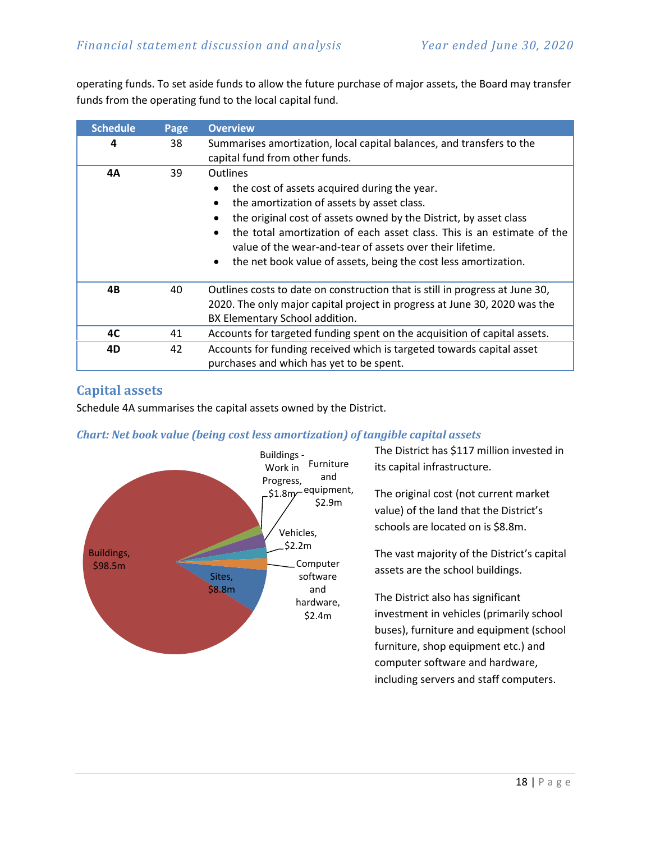operating funds. To set aside funds to allow the future purchase of major assets, the Board may transfer funds from the operating fund to the local capital fund.

| <b>Schedule</b> | Page | <b>Overview</b>                                                                                                                                                                                                                                                                                                                                                                                                                     |  |
|-----------------|------|-------------------------------------------------------------------------------------------------------------------------------------------------------------------------------------------------------------------------------------------------------------------------------------------------------------------------------------------------------------------------------------------------------------------------------------|--|
| 4               | 38   | Summarises amortization, local capital balances, and transfers to the<br>capital fund from other funds.                                                                                                                                                                                                                                                                                                                             |  |
| 4А              | 39   | <b>Outlines</b><br>the cost of assets acquired during the year.<br>the amortization of assets by asset class.<br>$\bullet$<br>the original cost of assets owned by the District, by asset class<br>$\bullet$<br>the total amortization of each asset class. This is an estimate of the<br>value of the wear-and-tear of assets over their lifetime.<br>the net book value of assets, being the cost less amortization.<br>$\bullet$ |  |
| 4B              | 40   | Outlines costs to date on construction that is still in progress at June 30,<br>2020. The only major capital project in progress at June 30, 2020 was the<br>BX Elementary School addition.                                                                                                                                                                                                                                         |  |
| 4C              | 41   | Accounts for targeted funding spent on the acquisition of capital assets.                                                                                                                                                                                                                                                                                                                                                           |  |
| 4D              | 42   | Accounts for funding received which is targeted towards capital asset<br>purchases and which has yet to be spent.                                                                                                                                                                                                                                                                                                                   |  |

# **Capital assets**

Schedule 4A summarises the capital assets owned by the District.

#### *Chart: Net book value (being cost less amortization) of tangible capital assets*



The District has \$117 million invested in its capital infrastructure.

The original cost (not current market value) of the land that the District's schools are located on is \$8.8m.

The vast majority of the District's capital assets are the school buildings.

The District also has significant investment in vehicles (primarily school buses), furniture and equipment (school furniture, shop equipment etc.) and computer software and hardware, including servers and staff computers.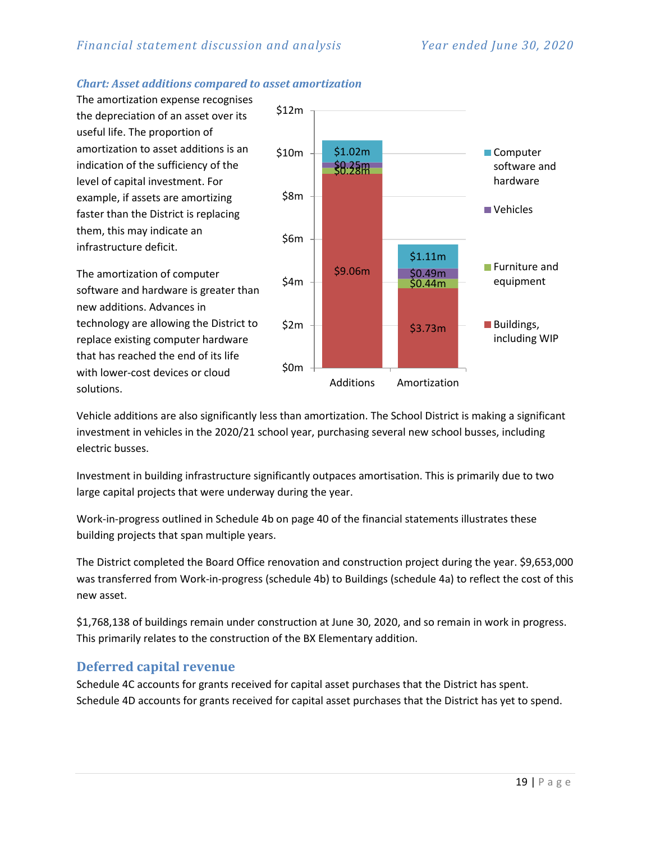#### *Chart: Asset additions compared to asset amortization*

The amortization expense recognises the depreciation of an asset over its useful life. The proportion of amortization to asset additions is an indication of the sufficiency of the level of capital investment. For example, if assets are amortizing faster than the District is replacing them, this may indicate an infrastructure deficit.

The amortization of computer software and hardware is greater than new additions. Advances in technology are allowing the District to replace existing computer hardware that has reached the end of its life with lower-cost devices or cloud solutions.



Vehicle additions are also significantly less than amortization. The School District is making a significant investment in vehicles in the 2020/21 school year, purchasing several new school busses, including electric busses.

Investment in building infrastructure significantly outpaces amortisation. This is primarily due to two large capital projects that were underway during the year.

Work-in-progress outlined in Schedule 4b on page 40 of the financial statements illustrates these building projects that span multiple years.

The District completed the Board Office renovation and construction project during the year. \$9,653,000 was transferred from Work-in-progress (schedule 4b) to Buildings (schedule 4a) to reflect the cost of this new asset.

\$1,768,138 of buildings remain under construction at June 30, 2020, and so remain in work in progress. This primarily relates to the construction of the BX Elementary addition.

#### **Deferred capital revenue**

Schedule 4C accounts for grants received for capital asset purchases that the District has spent. Schedule 4D accounts for grants received for capital asset purchases that the District has yet to spend.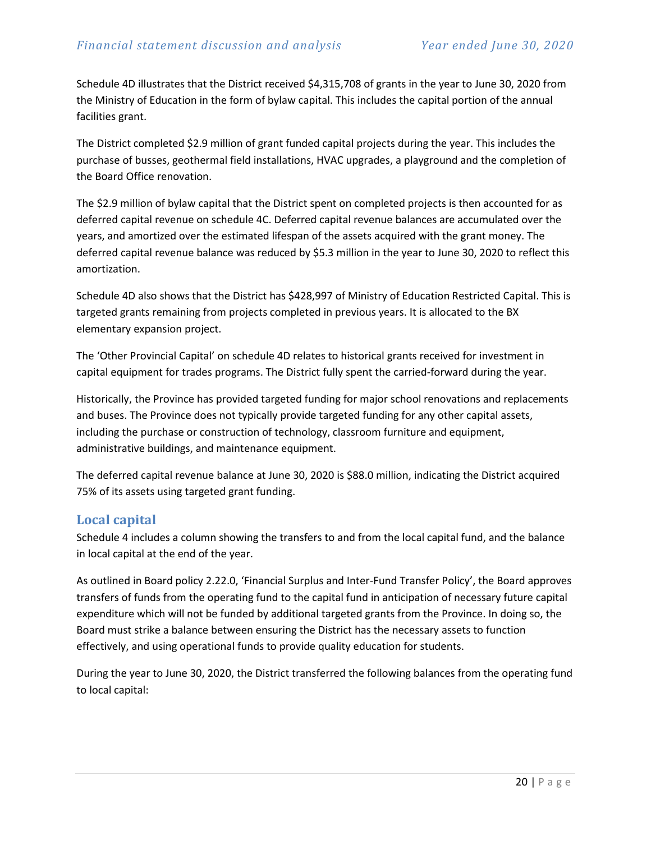Schedule 4D illustrates that the District received \$4,315,708 of grants in the year to June 30, 2020 from the Ministry of Education in the form of bylaw capital. This includes the capital portion of the annual facilities grant.

The District completed \$2.9 million of grant funded capital projects during the year. This includes the purchase of busses, geothermal field installations, HVAC upgrades, a playground and the completion of the Board Office renovation.

The \$2.9 million of bylaw capital that the District spent on completed projects is then accounted for as deferred capital revenue on schedule 4C. Deferred capital revenue balances are accumulated over the years, and amortized over the estimated lifespan of the assets acquired with the grant money. The deferred capital revenue balance was reduced by \$5.3 million in the year to June 30, 2020 to reflect this amortization.

Schedule 4D also shows that the District has \$428,997 of Ministry of Education Restricted Capital. This is targeted grants remaining from projects completed in previous years. It is allocated to the BX elementary expansion project.

The 'Other Provincial Capital' on schedule 4D relates to historical grants received for investment in capital equipment for trades programs. The District fully spent the carried-forward during the year.

Historically, the Province has provided targeted funding for major school renovations and replacements and buses. The Province does not typically provide targeted funding for any other capital assets, including the purchase or construction of technology, classroom furniture and equipment, administrative buildings, and maintenance equipment.

The deferred capital revenue balance at June 30, 2020 is \$88.0 million, indicating the District acquired 75% of its assets using targeted grant funding.

#### **Local capital**

Schedule 4 includes a column showing the transfers to and from the local capital fund, and the balance in local capital at the end of the year.

As outlined in Board policy 2.22.0, 'Financial Surplus and Inter-Fund Transfer Policy', the Board approves transfers of funds from the operating fund to the capital fund in anticipation of necessary future capital expenditure which will not be funded by additional targeted grants from the Province. In doing so, the Board must strike a balance between ensuring the District has the necessary assets to function effectively, and using operational funds to provide quality education for students.

During the year to June 30, 2020, the District transferred the following balances from the operating fund to local capital: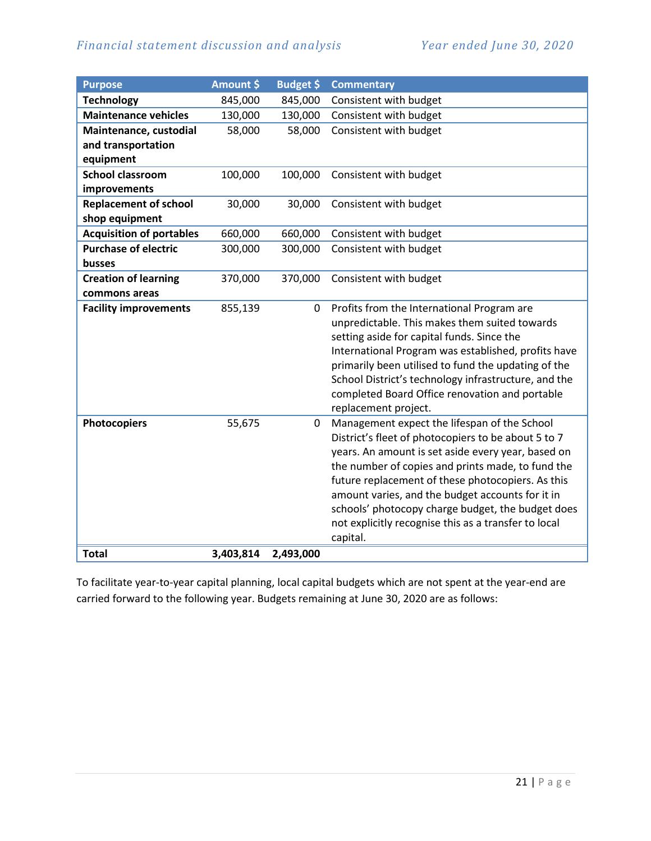| <b>Purpose</b>                  | Amount \$ | Budget \$   | <b>Commentary</b>                                                                                   |
|---------------------------------|-----------|-------------|-----------------------------------------------------------------------------------------------------|
| <b>Technology</b>               | 845,000   | 845,000     | Consistent with budget                                                                              |
| <b>Maintenance vehicles</b>     | 130,000   | 130,000     | Consistent with budget                                                                              |
| Maintenance, custodial          | 58,000    | 58,000      | Consistent with budget                                                                              |
| and transportation              |           |             |                                                                                                     |
| equipment                       |           |             |                                                                                                     |
| <b>School classroom</b>         | 100,000   | 100,000     | Consistent with budget                                                                              |
| improvements                    |           |             |                                                                                                     |
| <b>Replacement of school</b>    | 30,000    | 30,000      | Consistent with budget                                                                              |
| shop equipment                  |           |             |                                                                                                     |
| <b>Acquisition of portables</b> | 660,000   | 660,000     | Consistent with budget                                                                              |
| <b>Purchase of electric</b>     | 300,000   | 300,000     | Consistent with budget                                                                              |
| busses                          |           |             |                                                                                                     |
| <b>Creation of learning</b>     | 370,000   | 370,000     | Consistent with budget                                                                              |
| commons areas                   |           |             |                                                                                                     |
| <b>Facility improvements</b>    | 855,139   | 0           | Profits from the International Program are<br>unpredictable. This makes them suited towards         |
|                                 |           |             | setting aside for capital funds. Since the                                                          |
|                                 |           |             | International Program was established, profits have                                                 |
|                                 |           |             | primarily been utilised to fund the updating of the                                                 |
|                                 |           |             | School District's technology infrastructure, and the                                                |
|                                 |           |             | completed Board Office renovation and portable                                                      |
|                                 |           |             | replacement project.                                                                                |
| <b>Photocopiers</b>             | 55,675    | $\mathbf 0$ | Management expect the lifespan of the School<br>District's fleet of photocopiers to be about 5 to 7 |
|                                 |           |             | years. An amount is set aside every year, based on                                                  |
|                                 |           |             | the number of copies and prints made, to fund the                                                   |
|                                 |           |             | future replacement of these photocopiers. As this                                                   |
|                                 |           |             | amount varies, and the budget accounts for it in                                                    |
|                                 |           |             | schools' photocopy charge budget, the budget does                                                   |
|                                 |           |             | not explicitly recognise this as a transfer to local                                                |
|                                 |           |             | capital.                                                                                            |
| <b>Total</b>                    | 3,403,814 | 2,493,000   |                                                                                                     |

To facilitate year-to-year capital planning, local capital budgets which are not spent at the year-end are carried forward to the following year. Budgets remaining at June 30, 2020 are as follows: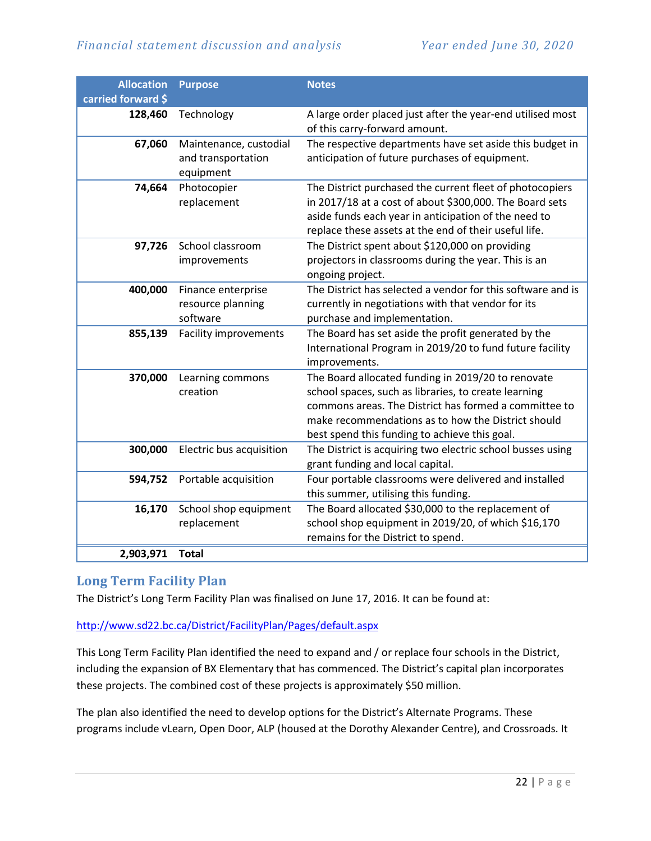| <b>Allocation</b><br>carried forward \$ | <b>Purpose</b>                                            | <b>Notes</b>                                                                                                                                                                                                                                                               |
|-----------------------------------------|-----------------------------------------------------------|----------------------------------------------------------------------------------------------------------------------------------------------------------------------------------------------------------------------------------------------------------------------------|
| 128,460                                 | Technology                                                | A large order placed just after the year-end utilised most<br>of this carry-forward amount.                                                                                                                                                                                |
| 67,060                                  | Maintenance, custodial<br>and transportation<br>equipment | The respective departments have set aside this budget in<br>anticipation of future purchases of equipment.                                                                                                                                                                 |
| 74,664                                  | Photocopier<br>replacement                                | The District purchased the current fleet of photocopiers<br>in 2017/18 at a cost of about \$300,000. The Board sets<br>aside funds each year in anticipation of the need to<br>replace these assets at the end of their useful life.                                       |
| 97,726                                  | School classroom<br>improvements                          | The District spent about \$120,000 on providing<br>projectors in classrooms during the year. This is an<br>ongoing project.                                                                                                                                                |
| 400,000                                 | Finance enterprise<br>resource planning<br>software       | The District has selected a vendor for this software and is<br>currently in negotiations with that vendor for its<br>purchase and implementation.                                                                                                                          |
| 855,139                                 | <b>Facility improvements</b>                              | The Board has set aside the profit generated by the<br>International Program in 2019/20 to fund future facility<br>improvements.                                                                                                                                           |
| 370,000                                 | Learning commons<br>creation                              | The Board allocated funding in 2019/20 to renovate<br>school spaces, such as libraries, to create learning<br>commons areas. The District has formed a committee to<br>make recommendations as to how the District should<br>best spend this funding to achieve this goal. |
| 300,000                                 | Electric bus acquisition                                  | The District is acquiring two electric school busses using<br>grant funding and local capital.                                                                                                                                                                             |
| 594,752                                 | Portable acquisition                                      | Four portable classrooms were delivered and installed<br>this summer, utilising this funding.                                                                                                                                                                              |
| 16,170                                  | School shop equipment<br>replacement                      | The Board allocated \$30,000 to the replacement of<br>school shop equipment in 2019/20, of which \$16,170<br>remains for the District to spend.                                                                                                                            |
| 2,903,971                               | <b>Total</b>                                              |                                                                                                                                                                                                                                                                            |

#### **Long Term Facility Plan**

The District's Long Term Facility Plan was finalised on June 17, 2016. It can be found at:

#### <http://www.sd22.bc.ca/District/FacilityPlan/Pages/default.aspx>

This Long Term Facility Plan identified the need to expand and / or replace four schools in the District, including the expansion of BX Elementary that has commenced. The District's capital plan incorporates these projects. The combined cost of these projects is approximately \$50 million.

The plan also identified the need to develop options for the District's Alternate Programs. These programs include vLearn, Open Door, ALP (housed at the Dorothy Alexander Centre), and Crossroads. It